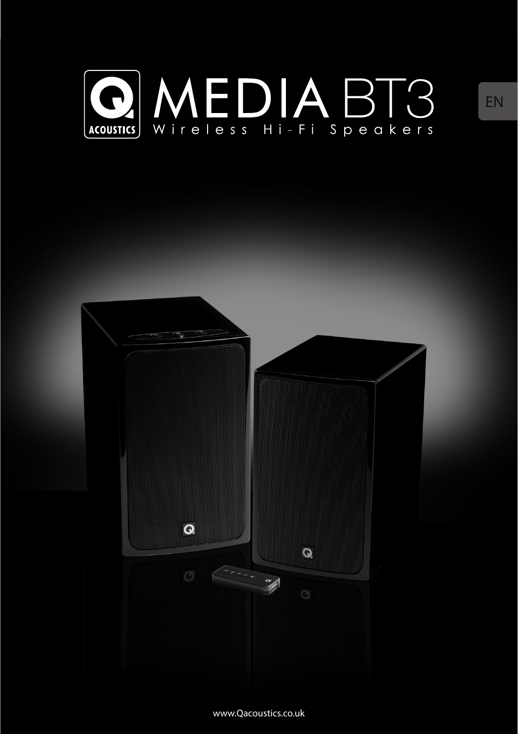



www.Qacoustics.co.uk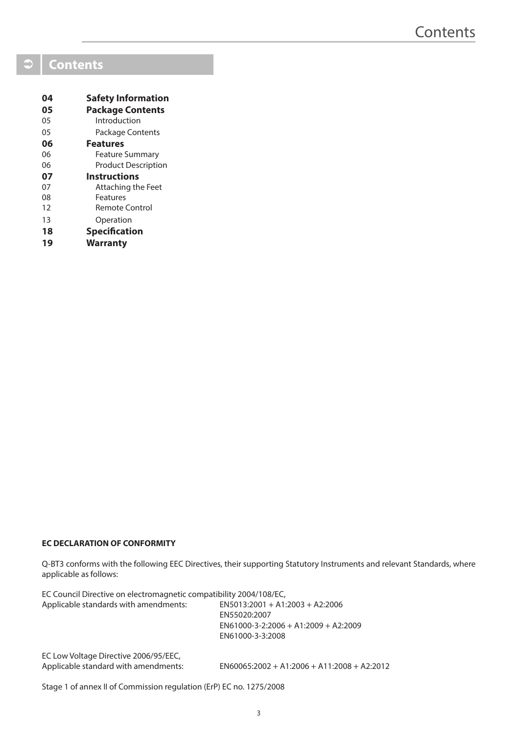# **Contents**

| 04 | <b>Safety Information</b>  |
|----|----------------------------|
| 05 | <b>Package Contents</b>    |
| 05 | Introduction               |
| 05 | Package Contents           |
| 06 | <b>Features</b>            |
| 06 | <b>Feature Summary</b>     |
| 06 | <b>Product Description</b> |
| 07 | <b>Instructions</b>        |
| 07 | Attaching the Feet         |
| 08 | Features                   |
| 12 | <b>Remote Control</b>      |
| 13 | Operation                  |
| 18 | <b>Specification</b>       |
|    |                            |

### **EC DECLARATION OF CONFORMITY**

Q-BT3 conforms with the following EEC Directives, their supporting Statutory Instruments and relevant Standards, where applicable as follows:

| EC Council Directive on electromagnetic compatibility 2004/108/EC,            |                                                                                                                 |
|-------------------------------------------------------------------------------|-----------------------------------------------------------------------------------------------------------------|
| Applicable standards with amendments:                                         | $EN5013:2001 + A1:2003 + A2:2006$<br>EN55020:2007<br>$EN61000-3-2:2006 + A1:2009 + A2:2009$<br>EN61000-3-3:2008 |
| EC Low Voltage Directive 2006/95/EEC,<br>Applicable standard with amendments: | $EN60065:2002 + A1:2006 + A11:2008 + A2:2012$                                                                   |

Stage 1 of annex II of Commission regulation (ErP) EC no. 1275/2008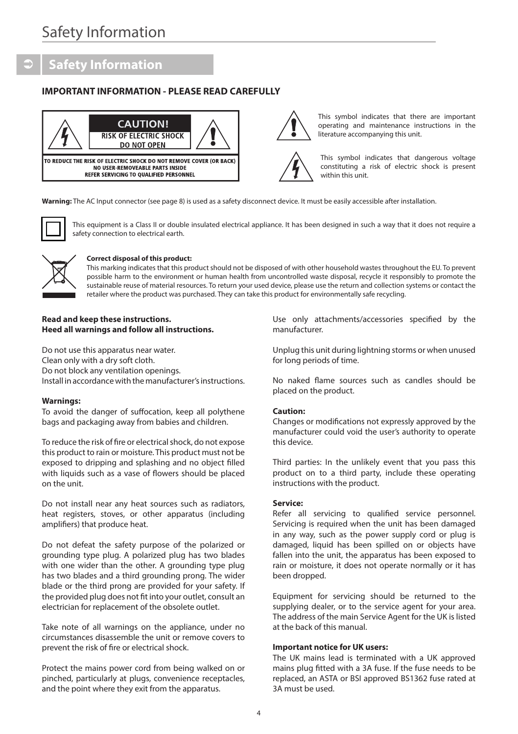# **Safety Information**

### **IMPORTANT INFORMATION - PLEASE READ CAREFULLY**





This symbol indicates that there are important operating and maintenance instructions in the literature accompanying this unit.

This symbol indicates that dangerous voltage constituting a risk of electric shock is present within this unit.

**Warning:** The AC Input connector (see page 8) is used as a safety disconnect device. It must be easily accessible after installation.



This equipment is a Class II or double insulated electrical appliance. It has been designed in such a way that it does not require a safety connection to electrical earth.



#### **Correct disposal of this product:**

This marking indicates that this product should not be disposed of with other household wastes throughout the EU. To prevent possible harm to the environment or human health from uncontrolled waste disposal, recycle it responsibly to promote the sustainable reuse of material resources. To return your used device, please use the return and collection systems or contact the retailer where the product was purchased. They can take this product for environmentally safe recycling.

#### **Read and keep these instructions. Heed all warnings and follow all instructions.**

Do not use this apparatus near water. Clean only with a dry soft cloth. Do not block any ventilation openings. Install in accordance with the manufacturer's instructions.

#### **Warnings:**

To avoid the danger of suffocation, keep all polythene bags and packaging away from babies and children.

To reduce the risk of fire or electrical shock, do not expose this product to rain or moisture. This product must not be exposed to dripping and splashing and no object filled with liquids such as a vase of flowers should be placed on the unit.

Do not install near any heat sources such as radiators, heat registers, stoves, or other apparatus (including amplifiers) that produce heat.

Do not defeat the safety purpose of the polarized or grounding type plug. A polarized plug has two blades with one wider than the other. A grounding type plug has two blades and a third grounding prong. The wider blade or the third prong are provided for your safety. If the provided plug does not fit into your outlet, consult an electrician for replacement of the obsolete outlet.

Take note of all warnings on the appliance, under no circumstances disassemble the unit or remove covers to prevent the risk of fire or electrical shock.

Protect the mains power cord from being walked on or pinched, particularly at plugs, convenience receptacles, and the point where they exit from the apparatus.

Use only attachments/accessories specified by the manufacturer.

Unplug this unit during lightning storms or when unused for long periods of time.

No naked flame sources such as candles should be placed on the product.

#### **Caution:**

Changes or modifications not expressly approved by the manufacturer could void the user's authority to operate this device.

Third parties: In the unlikely event that you pass this product on to a third party, include these operating instructions with the product.

#### **Service:**

Refer all servicing to qualified service personnel. Servicing is required when the unit has been damaged in any way, such as the power supply cord or plug is damaged, liquid has been spilled on or objects have fallen into the unit, the apparatus has been exposed to rain or moisture, it does not operate normally or it has been dropped.

Equipment for servicing should be returned to the supplying dealer, or to the service agent for your area. The address of the main Service Agent for the UK is listed at the back of this manual.

#### **Important notice for UK users:**

The UK mains lead is terminated with a UK approved mains plug fitted with a 3A fuse. If the fuse needs to be replaced, an ASTA or BSI approved BS1362 fuse rated at 3A must be used.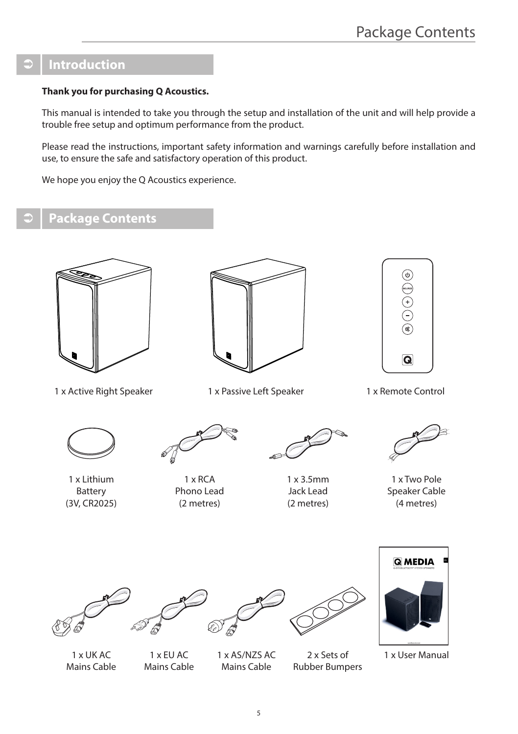# **Introduction**

### **Thank you for purchasing Q Acoustics.**

This manual is intended to take you through the setup and installation of the unit and will help provide a trouble free setup and optimum performance from the product.

Please read the instructions, important safety information and warnings carefully before installation and use, to ensure the safe and satisfactory operation of this product.

We hope you enjoy the O Acoustics experience.

# **Package Contents**



1 x Active Right Speaker





1 x Passive Left Speaker 1 x Remote Control



1 x Lithium Battery (3V, CR2025)



1 x RCA Phono Lead (2 metres)



1 x 3.5mm Jack Lead (2 metres)



1 x Two Pole Speaker Cable (4 metres)









1 x User Manual

1 x UK AC Mains Cable

1 x EU AC Mains Cable

1 x AS/NZS AC Mains Cable

2 x Sets of Rubber Bumpers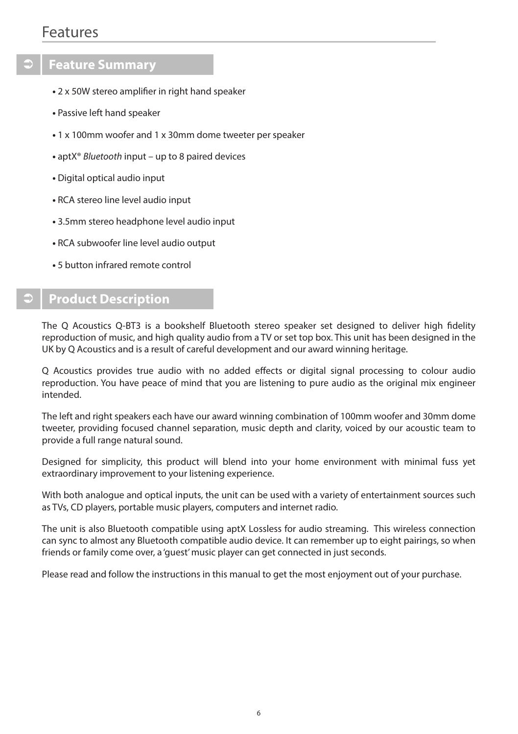# Features

# **Feature Summary**

- 2 x 50W stereo amplifier in right hand speaker
- Passive left hand speaker
- 1 x 100mm woofer and 1 x 30mm dome tweeter per speaker
- aptX® *Bluetooth* input up to 8 paired devices
- Digital optical audio input
- RCA stereo line level audio input
- 3.5mm stereo headphone level audio input
- RCA subwoofer line level audio output
- 5 button infrared remote control

# **Product Description**

The Q Acoustics Q-BT3 is a bookshelf Bluetooth stereo speaker set designed to deliver high fidelity reproduction of music, and high quality audio from a TV or set top box. This unit has been designed in the UK by Q Acoustics and is a result of careful development and our award winning heritage.

Q Acoustics provides true audio with no added effects or digital signal processing to colour audio reproduction. You have peace of mind that you are listening to pure audio as the original mix engineer intended.

The left and right speakers each have our award winning combination of 100mm woofer and 30mm dome tweeter, providing focused channel separation, music depth and clarity, voiced by our acoustic team to provide a full range natural sound.

Designed for simplicity, this product will blend into your home environment with minimal fuss yet extraordinary improvement to your listening experience.

With both analogue and optical inputs, the unit can be used with a variety of entertainment sources such as TVs, CD players, portable music players, computers and internet radio.

The unit is also Bluetooth compatible using aptX Lossless for audio streaming. This wireless connection can sync to almost any Bluetooth compatible audio device. It can remember up to eight pairings, so when friends or family come over, a 'guest' music player can get connected in just seconds.

Please read and follow the instructions in this manual to get the most enjoyment out of your purchase.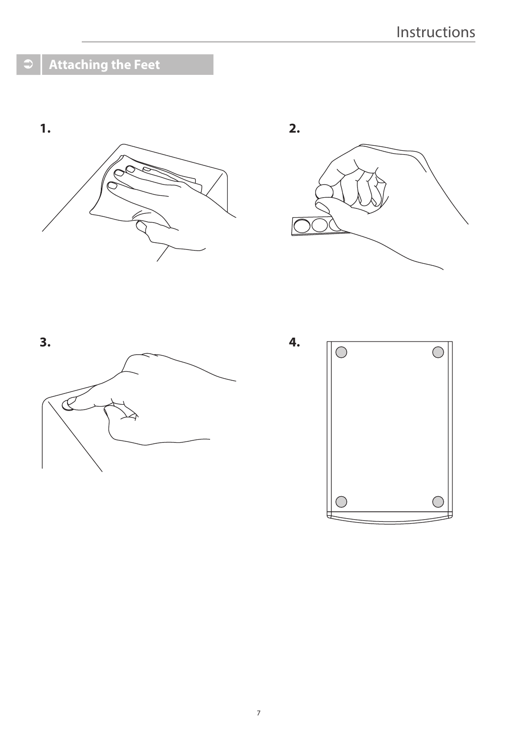# **Attaching the Feet**







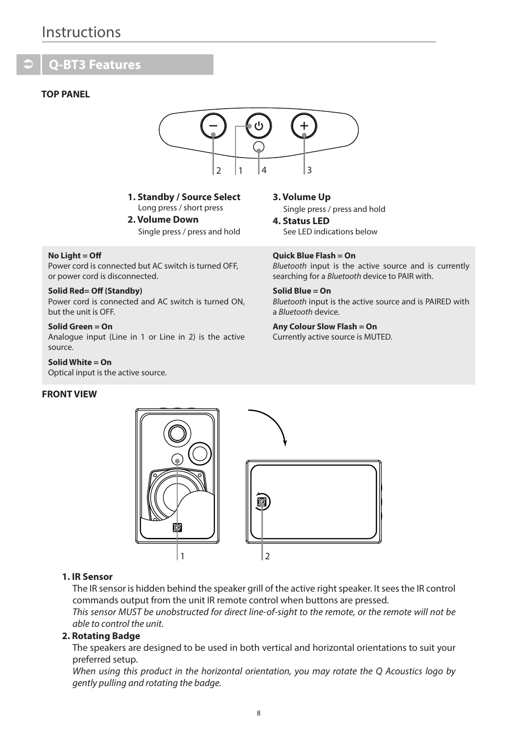# Instructions

# **Q-BT3 Features**

### **TOP PANEL**



**1. Standby / Source Select** Long press / short press

**2. Volume Down** Single press / press and hold

#### **No Light = Off**

Power cord is connected but AC switch is turned OFF, or power cord is disconnected.

### **Solid Red= Off (Standby)**

Power cord is connected and AC switch is turned ON, but the unit is OFF.

#### **Solid Green = On**

Analogue input (Line in 1 or Line in 2) is the active source.

**Solid White = On** Optical input is the active source.

#### **FRONT VIEW**

**3. Volume Up** Single press / press and hold

**4. Status LED** See LED indications below

**Quick Blue Flash = On** *Bluetooth* input is the active source and is currently searching for a *Bluetooth* device to PAIR with.

**Solid Blue = On** *Bluetooth* input is the active source and is PAIRED with a *Bluetooth* device.

# **Any Colour Slow Flash = On**

Currently active source is MUTED.



### **1. IR Sensor**

The IR sensor is hidden behind the speaker grill of the active right speaker. It sees the IR control commands output from the unit IR remote control when buttons are pressed.

*This sensor MUST be unobstructed for direct line-of-sight to the remote, or the remote will not be able to control the unit.*

## **2. Rotating Badge**

The speakers are designed to be used in both vertical and horizontal orientations to suit your preferred setup.

*When using this product in the horizontal orientation, you may rotate the Q Acoustics logo by gently pulling and rotating the badge.*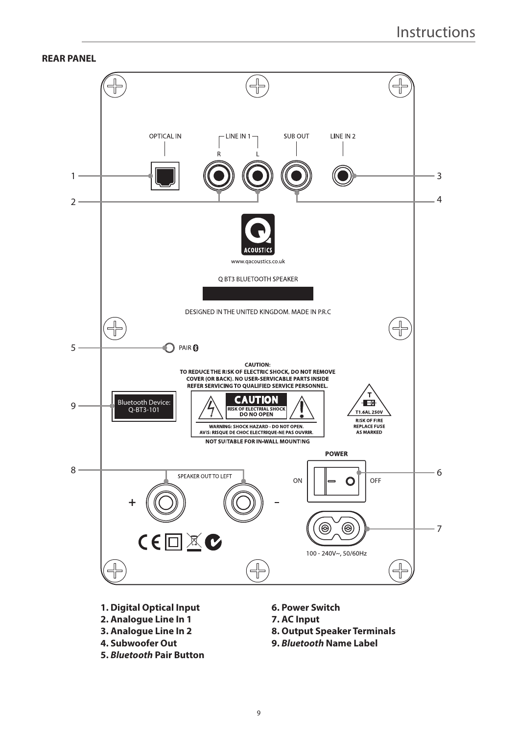### **REAR PANEL**



- **1. Digital Optical Input**
- **2. Analogue Line In 1**
- **3. Analogue Line In 2**
- **4. Subwoofer Out**
- **5.** *Bluetooth* **Pair Button**
- **6. Power Switch**
- **7. AC Input**
- **8. Output Speaker Terminals**
- **9.** *Bluetooth* **Name Label**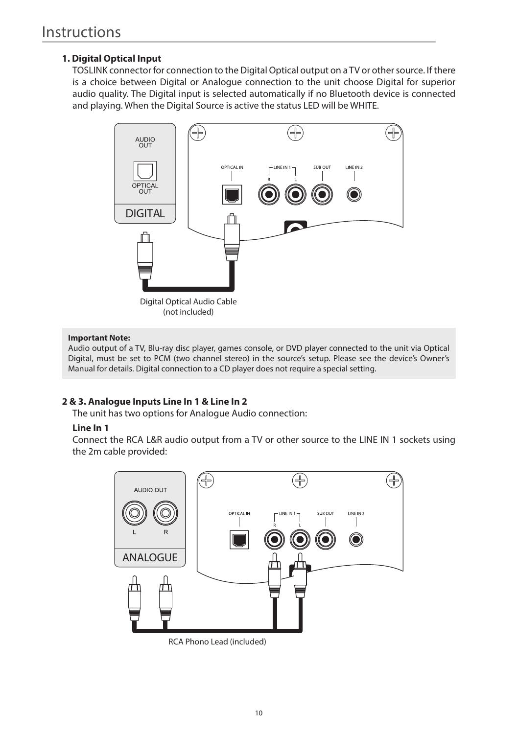# **1. Digital Optical Input**

TOSLINK connector for connection to the Digital Optical output on a TV or other source. If there is a choice between Digital or Analogue connection to the unit choose Digital for superior audio quality. The Digital input is selected automatically if no Bluetooth device is connected and playing. When the Digital Source is active the status LED will be WHITE.



### **Important Note:**

Audio output of a TV, Blu-ray disc player, games console, or DVD player connected to the unit via Optical Digital, must be set to PCM (two channel stereo) in the source's setup. Please see the device's Owner's Manual for details. Digital connection to a CD player does not require a special setting.

## **2 & 3. Analogue Inputs Line In 1 & Line In 2**

The unit has two options for Analogue Audio connection:

### **Line In 1**

Connect the RCA L&R audio output from a TV or other source to the LINE IN 1 sockets using the 2m cable provided:



RCA Phono Lead (included)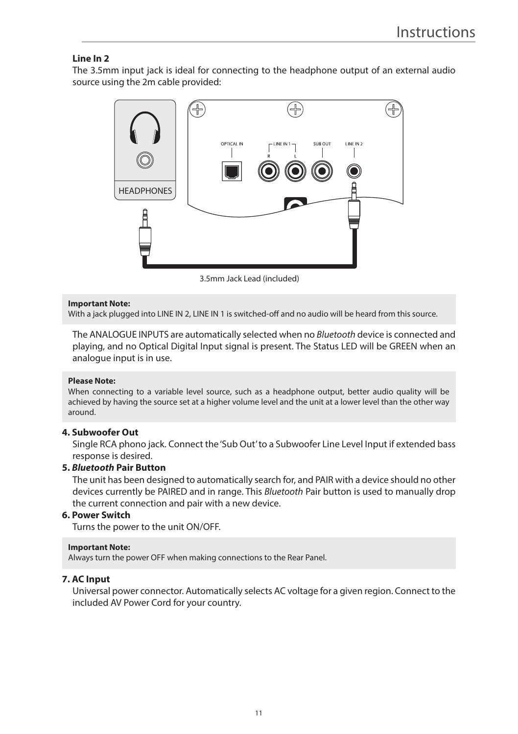## **Line In 2**

The 3.5mm input jack is ideal for connecting to the headphone output of an external audio source using the 2m cable provided:



3.5mm Jack Lead (included)

#### **Important Note:**

With a jack plugged into LINE IN 2, LINE IN 1 is switched-off and no audio will be heard from this source.

The ANALOGUE INPUTS are automatically selected when no *Bluetooth* device is connected and playing, and no Optical Digital Input signal is present. The Status LED will be GREEN when an analogue input is in use.

## **Please Note:**

When connecting to a variable level source, such as a headphone output, better audio quality will be achieved by having the source set at a higher volume level and the unit at a lower level than the other way around.

### **4. Subwoofer Out**

Single RCA phono jack. Connect the 'Sub Out' to a Subwoofer Line Level Input if extended bass response is desired.

### **5.** *Bluetooth* **Pair Button**

The unit has been designed to automatically search for, and PAIR with a device should no other devices currently be PAIRED and in range. This *Bluetooth* Pair button is used to manually drop the current connection and pair with a new device.

### **6. Power Switch**

Turns the power to the unit ON/OFF.

### **Important Note:**

Always turn the power OFF when making connections to the Rear Panel.

### **7. AC Input**

Universal power connector. Automatically selects AC voltage for a given region. Connect to the included AV Power Cord for your country.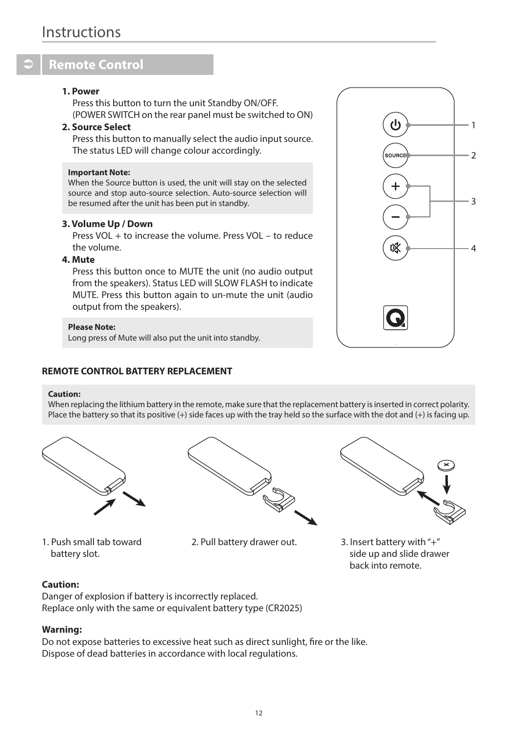# **Remote Control**

### **1. Power**

Press this button to turn the unit Standby ON/OFF. (POWER SWITCH on the rear panel must be switched to ON)

## **2. Source Select**

Press this button to manually select the audio input source. The status LED will change colour accordingly.

#### **Important Note:**

When the Source button is used, the unit will stay on the selected source and stop auto-source selection. Auto-source selection will be resumed after the unit has been put in standby.

### **3. Volume Up / Down**

Press VOL + to increase the volume. Press VOL – to reduce the volume.

## **4. Mute**

Press this button once to MUTE the unit (no audio output from the speakers). Status LED will SLOW FLASH to indicate MUTE. Press this button again to un-mute the unit (audio output from the speakers).

### **Please Note:**

Long press of Mute will also put the unit into standby.

### **REMOTE CONTROL BATTERY REPLACEMENT**

#### **Caution:**

When replacing the lithium battery in the remote, make sure that the replacement battery is inserted in correct polarity. Place the battery so that its positive (+) side faces up with the tray held so the surface with the dot and (+) is facing up.



1. Push small tab toward battery slot.



2. Pull battery drawer out. 3. Insert battery with "+"



side up and slide drawer back into remote.

### **Caution:**

Danger of explosion if battery is incorrectly replaced. Replace only with the same or equivalent battery type (CR2025)

### **Warning:**

Do not expose batteries to excessive heat such as direct sunlight, fire or the like. Dispose of dead batteries in accordance with local regulations.

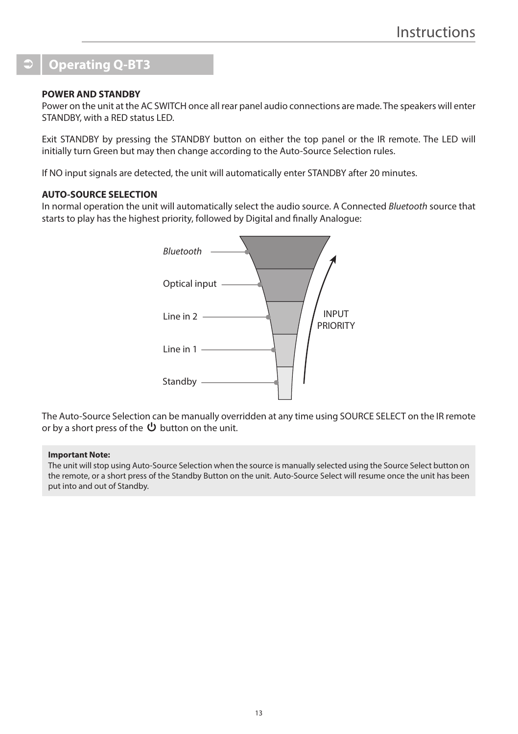# **Operating Q-BT3**

### **POWER AND STANDBY**

Power on the unit at the AC SWITCH once all rear panel audio connections are made. The speakers will enter STANDBY, with a RED status LED.

Exit STANDBY by pressing the STANDBY button on either the top panel or the IR remote. The LED will initially turn Green but may then change according to the Auto-Source Selection rules.

If NO input signals are detected, the unit will automatically enter STANDBY after 20 minutes.

### **AUTO-SOURCE SELECTION**

In normal operation the unit will automatically select the audio source. A Connected *Bluetooth* source that starts to play has the highest priority, followed by Digital and finally Analogue:



The Auto-Source Selection can be manually overridden at any time using SOURCE SELECT on the IR remote or by a short press of the  $\mathbf \Theta$  button on the unit.

### **Important Note:**

The unit will stop using Auto-Source Selection when the source is manually selected using the Source Select button on the remote, or a short press of the Standby Button on the unit. Auto-Source Select will resume once the unit has been put into and out of Standby.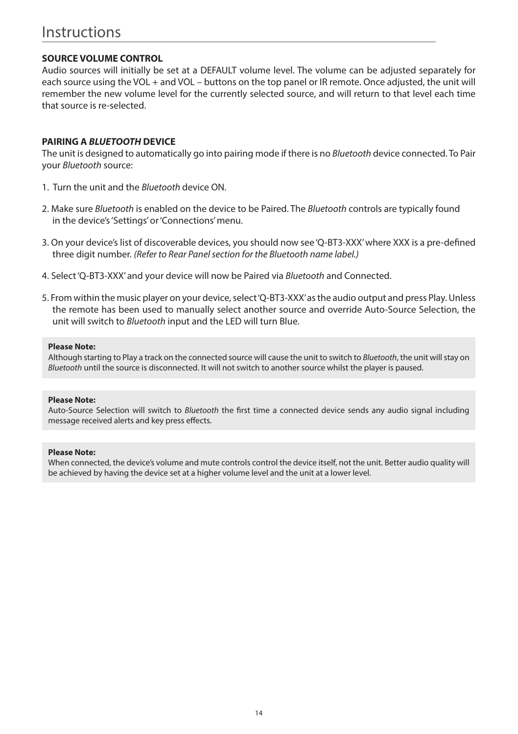# Instructions

## **SOURCE VOLUME CONTROL**

Audio sources will initially be set at a DEFAULT volume level. The volume can be adjusted separately for each source using the VOL + and VOL – buttons on the top panel or IR remote. Once adjusted, the unit will remember the new volume level for the currently selected source, and will return to that level each time that source is re-selected.

### **PAIRING A** *BLUETOOTH* **DEVICE**

The unit is designed to automatically go into pairing mode if there is no *Bluetooth* device connected. To Pair your *Bluetooth* source:

- 1. Turn the unit and the *Bluetooth* device ON.
- 2. Make sure *Bluetooth* is enabled on the device to be Paired. The *Bluetooth* controls are typically found in the device's 'Settings' or 'Connections' menu.
- 3. On your device's list of discoverable devices, you should now see 'Q-BT3-XXX' where XXX is a pre-defined three digit number. *(Refer to Rear Panel section for the Bluetooth name label.)*
- 4. Select 'Q-BT3-XXX' and your device will now be Paired via *Bluetooth* and Connected.
- 5. From within the music player on your device, select 'Q-BT3-XXX' as the audio output and press Play. Unless the remote has been used to manually select another source and override Auto-Source Selection, the unit will switch to *Bluetooth* input and the LED will turn Blue.

### **Please Note:**

Although starting to Play a track on the connected source will cause the unit to switch to *Bluetooth*, the unit will stay on *Bluetooth* until the source is disconnected. It will not switch to another source whilst the player is paused.

#### **Please Note:**

Auto-Source Selection will switch to *Bluetooth* the first time a connected device sends any audio signal including message received alerts and key press effects.

### **Please Note:**

When connected, the device's volume and mute controls control the device itself, not the unit. Better audio quality will be achieved by having the device set at a higher volume level and the unit at a lower level.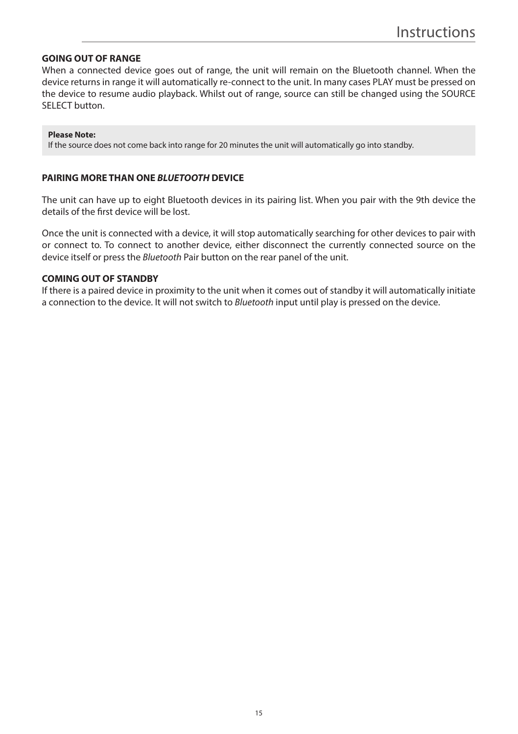### **GOING OUT OF RANGE**

When a connected device goes out of range, the unit will remain on the Bluetooth channel. When the device returns in range it will automatically re-connect to the unit. In many cases PLAY must be pressed on the device to resume audio playback. Whilst out of range, source can still be changed using the SOURCE SELECT button.

#### **Please Note:**

If the source does not come back into range for 20 minutes the unit will automatically go into standby.

### **PAIRING MORE THAN ONE** *BLUETOOTH* **DEVICE**

The unit can have up to eight Bluetooth devices in its pairing list. When you pair with the 9th device the details of the first device will be lost.

Once the unit is connected with a device, it will stop automatically searching for other devices to pair with or connect to. To connect to another device, either disconnect the currently connected source on the device itself or press the *Bluetooth* Pair button on the rear panel of the unit.

### **COMING OUT OF STANDBY**

If there is a paired device in proximity to the unit when it comes out of standby it will automatically initiate a connection to the device. It will not switch to *Bluetooth* input until play is pressed on the device.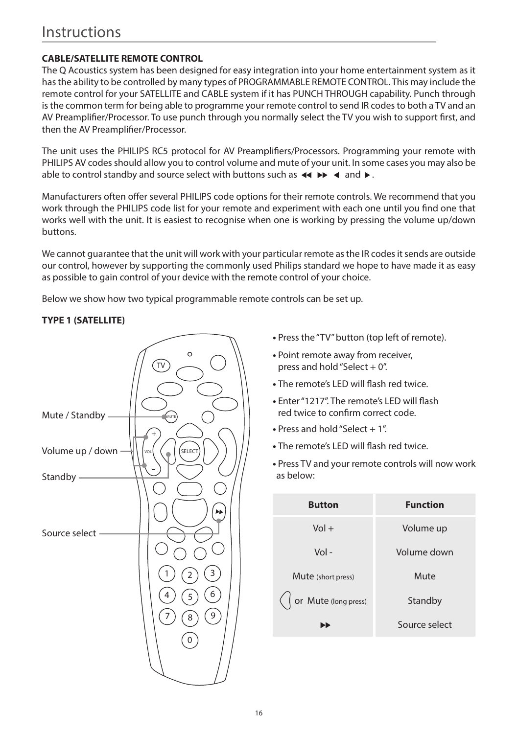# Instructions

# **CABLE/SATELLITE REMOTE CONTROL**

The Q Acoustics system has been designed for easy integration into your home entertainment system as it has the ability to be controlled by many types of PROGRAMMABLE REMOTE CONTROL. This may include the remote control for your SATELLITE and CABLE system if it has PUNCH THROUGH capability. Punch through is the common term for being able to programme your remote control to send IR codes to both a TV and an AV Preamplifier/Processor. To use punch through you normally select the TV you wish to support first, and then the AV Preamplifier/Processor.

The unit uses the PHILIPS RC5 protocol for AV Preamplifiers/Processors. Programming your remote with PHILIPS AV codes should allow you to control volume and mute of your unit. In some cases you may also be able to control standby and source select with buttons such as  $\blacktriangleleft \blacktriangleleft \blacktriangleleft$  and  $\blacktriangleright$ .

Manufacturers often offer several PHILIPS code options for their remote controls. We recommend that you work through the PHILIPS code list for your remote and experiment with each one until you find one that works well with the unit. It is easiest to recognise when one is working by pressing the volume up/down buttons.

We cannot guarantee that the unit will work with your particular remote as the IR codes it sends are outside our control, however by supporting the commonly used Philips standard we hope to have made it as easy as possible to gain control of your device with the remote control of your choice.

Below we show how two typical programmable remote controls can be set up.

## **TYPE 1 (SATELLITE)**



- Press the "TV" button (top left of remote).
- Point remote away from receiver, press and hold "Select  $+ 0$ ".
- The remote's LED will flash red twice.
- **•** Enter "1217". The remote's LED will flash red twice to confirm correct code.
- Press and hold "Select + 1"
- The remote's LED will flash red twice.
- Press TV and your remote controls will now work as below:

| <b>Button</b>        | <b>Function</b> |
|----------------------|-----------------|
| $Vol +$              | Volume up       |
| $Vol -$              | Volume down     |
| Mute (short press)   | Mute            |
| or Mute (long press) | Standby         |
|                      | Source select   |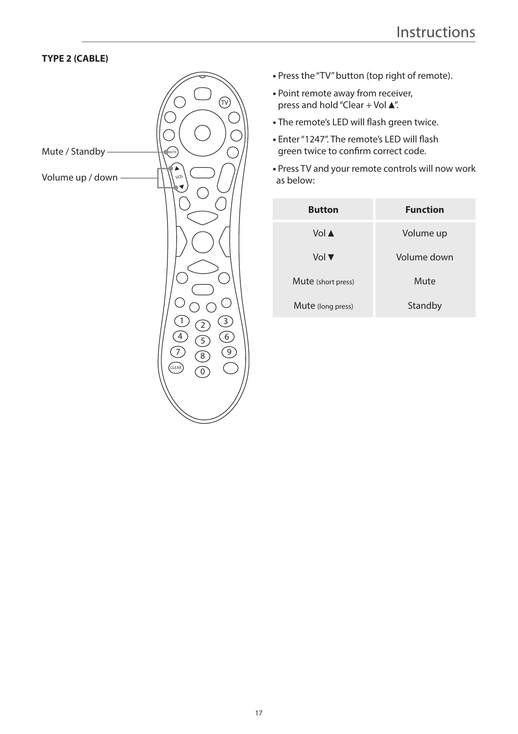# **TYPE 2 (CABLE)**



- Press the "TV" button (top right of remote).
- **•** Point remote away from receiver, press and hold "Clear + Vol $\blacktriangle$ ".
- The remote's LED will flash green twice.
- Enter "1247". The remote's LED will flash green twice to confirm correct code.
- Press TV and your remote controls will now work as below:

| <b>Button</b>      | <b>Function</b> |
|--------------------|-----------------|
| Vol A              | Volume up       |
| Vol ▼              | Volume down     |
| Mute (short press) | Mute            |
| Mute (long press)  | Standby         |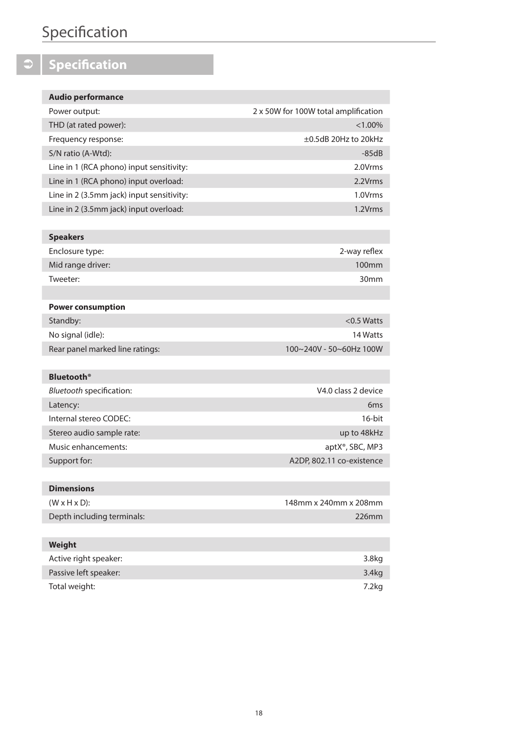# **Specification**

# $\boxed{\circ}$  Specification

| <b>Audio performance</b>                  |                                      |
|-------------------------------------------|--------------------------------------|
| Power output:                             | 2 x 50W for 100W total amplification |
| THD (at rated power):                     | $< 1.00\%$                           |
| Frequency response:                       | $\pm 0.5$ dB 20Hz to 20kHz           |
| S/N ratio (A-Wtd):                        | $-85dB$                              |
| Line in 1 (RCA phono) input sensitivity:  | 2.0Vrms                              |
| Line in 1 (RCA phono) input overload:     | 2.2Vrms                              |
| Line in 2 (3.5mm jack) input sensitivity: | 1.0Vrms                              |
| Line in 2 (3.5mm jack) input overload:    | 1.2Vrms                              |
|                                           |                                      |

| <b>Speakers</b>   |                  |
|-------------------|------------------|
| Enclosure type:   | 2-way reflex     |
| Mid range driver: | 100mm            |
| Tweeter:          | 30 <sub>mm</sub> |
|                   |                  |

| <b>Power consumption</b>        |                         |
|---------------------------------|-------------------------|
| Standby:                        | $<$ 0.5 Watts           |
| No signal (idle):               | 14 Watts                |
| Rear panel marked line ratings: | 100~240V - 50~60Hz 100W |
|                                 |                         |

| <b>Bluetooth</b> <sup>®</sup> |                              |
|-------------------------------|------------------------------|
| Bluetooth specification:      | V4.0 class 2 device          |
| Latency:                      | 6 <sub>ms</sub>              |
| Internal stereo CODEC:        | $16$ -bit                    |
| Stereo audio sample rate:     | up to 48kHz                  |
| Music enhancements:           | aptX <sup>®</sup> , SBC, MP3 |
| Support for:                  | A2DP, 802.11 co-existence    |
|                               |                              |

| 148mm x 240mm x 208mm |
|-----------------------|
| $226$ mm              |
|                       |

| Weight                |                   |
|-----------------------|-------------------|
| Active right speaker: | 3.8 <sub>kq</sub> |
| Passive left speaker: | 3.4 <sub>kq</sub> |
| Total weight:         | 7.2kg             |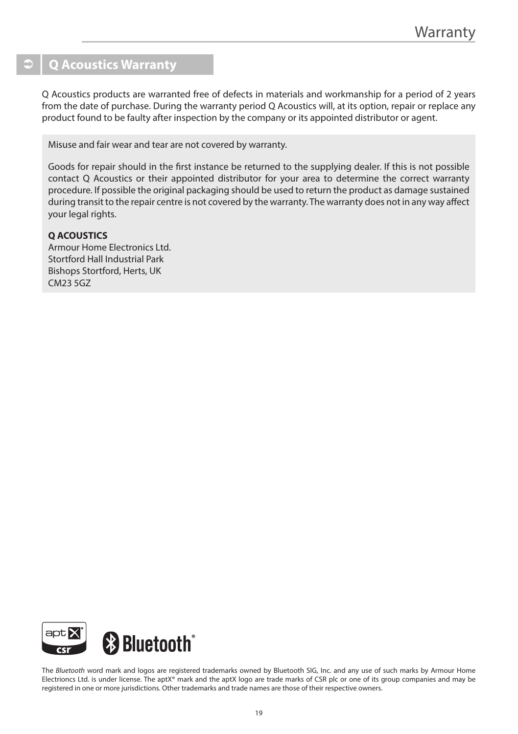# **Q Acoustics Warranty**

Q Acoustics products are warranted free of defects in materials and workmanship for a period of 2 years from the date of purchase. During the warranty period Q Acoustics will, at its option, repair or replace any product found to be faulty after inspection by the company or its appointed distributor or agent.

Misuse and fair wear and tear are not covered by warranty.

Goods for repair should in the first instance be returned to the supplying dealer. If this is not possible contact Q Acoustics or their appointed distributor for your area to determine the correct warranty procedure. If possible the original packaging should be used to return the product as damage sustained during transit to the repair centre is not covered by the warranty. The warranty does not in any way affect your legal rights.

### **Q ACOUSTICS**

Armour Home Electronics Ltd. Stortford Hall Industrial Park Bishops Stortford, Herts, UK CM23 5GZ



The *Bluetooth* word mark and logos are registered trademarks owned by Bluetooth SIG, Inc. and any use of such marks by Armour Home Electrioncs Ltd. is under license. The aptX® mark and the aptX logo are trade marks of CSR plc or one of its group companies and may be registered in one or more jurisdictions. Other trademarks and trade names are those of their respective owners.